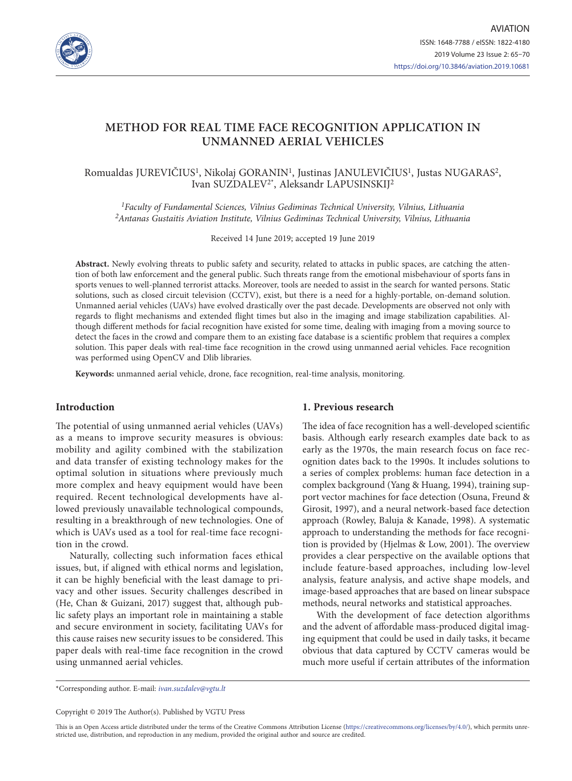

# **METHOD FOR REAL TIME FACE RECOGNITION APPLICATION IN UNMANNED AERIAL VEHICLES**

# Romualdas JUREVIČIUS1, Nikolaj GORANIN1, Justinas JANULEVIČIUS1, Justas NUGARAS2, Ivan SUZDALEV2\*, Aleksandr LAPUSINSKIJ2

*1Faculty of Fundamental Sciences, Vilnius Gediminas Technical University, Vilnius, Lithuania 2Antanas Gustaitis Aviation Institute, Vilnius Gediminas Technical University, Vilnius, Lithuania*

Received 14 June 2019; accepted 19 June 2019

**Abstract.** Newly evolving threats to public safety and security, related to attacks in public spaces, are catching the attention of both law enforcement and the general public. Such threats range from the emotional misbehaviour of sports fans in sports venues to well-planned terrorist attacks. Moreover, tools are needed to assist in the search for wanted persons. Static solutions, such as closed circuit television (CCTV), exist, but there is a need for a highly-portable, on-demand solution. Unmanned aerial vehicles (UAVs) have evolved drastically over the past decade. Developments are observed not only with regards to flight mechanisms and extended flight times but also in the imaging and image stabilization capabilities. Although different methods for facial recognition have existed for some time, dealing with imaging from a moving source to detect the faces in the crowd and compare them to an existing face database is a scientific problem that requires a complex solution. This paper deals with real-time face recognition in the crowd using unmanned aerial vehicles. Face recognition was performed using OpenCV and Dlib libraries.

**Keywords:** unmanned aerial vehicle, drone, face recognition, real-time analysis, monitoring.

### **Introduction**

The potential of using unmanned aerial vehicles (UAVs) as a means to improve security measures is obvious: mobility and agility combined with the stabilization and data transfer of existing technology makes for the optimal solution in situations where previously much more complex and heavy equipment would have been required. Recent technological developments have allowed previously unavailable technological compounds, resulting in a breakthrough of new technologies. One of which is UAVs used as a tool for real-time face recognition in the crowd.

Naturally, collecting such information faces ethical issues, but, if aligned with ethical norms and legislation, it can be highly beneficial with the least damage to privacy and other issues. Security challenges described in (He, Chan & Guizani, 2017) suggest that, although public safety plays an important role in maintaining a stable and secure environment in society, facilitating UAVs for this cause raises new security issues to be considered. This paper deals with real-time face recognition in the crowd using unmanned aerial vehicles.

## **1. Previous research**

The idea of face recognition has a well-developed scientific basis. Although early research examples date back to as early as the 1970s, the main research focus on face recognition dates back to the 1990s. It includes solutions to a series of complex problems: human face detection in a complex background (Yang & Huang, 1994), training support vector machines for face detection (Osuna, Freund & Girosit, 1997), and a neural network-based face detection approach (Rowley, Baluja & Kanade, 1998). A systematic approach to understanding the methods for face recognition is provided by (Hjelmas & Low, 2001). The overview provides a clear perspective on the available options that include feature-based approaches, including low-level analysis, feature analysis, and active shape models, and image-based approaches that are based on linear subspace methods, neural networks and statistical approaches.

With the development of face detection algorithms and the advent of affordable mass-produced digital imaging equipment that could be used in daily tasks, it became obvious that data captured by CCTV cameras would be much more useful if certain attributes of the information

\*Corresponding author. E-mail: *[ivan.suzdalev@vgtu.lt](mailto:ivan.suzdalev@vgtu.lt)*

Copyright © 2019 The Author(s). Published by VGTU Press

This is an Open Access article distributed under the terms of the Creative Commons Attribution License [\(https://creativecommons.org/licenses/by/4.0/\)](http://creativecommons.org/licenses/by/4.0/), which permits unrestricted use, distribution, and reproduction in any medium, provided the original author and source are credited.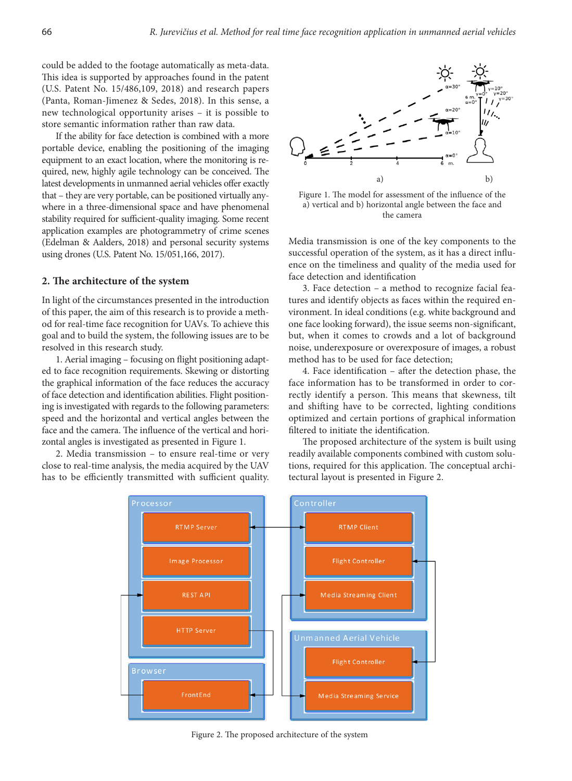could be added to the footage automatically as meta-data. This idea is supported by approaches found in the patent (U.S. Patent No. 15/486,109, 2018) and research papers (Panta, Roman-Jimenez & Sedes, 2018). In this sense, a new technological opportunity arises – it is possible to store semantic information rather than raw data.

If the ability for face detection is combined with a more portable device, enabling the positioning of the imaging equipment to an exact location, where the monitoring is required, new, highly agile technology can be conceived. The latest developments in unmanned aerial vehicles offer exactly that – they are very portable, can be positioned virtually anywhere in a three-dimensional space and have phenomenal stability required for sufficient-quality imaging. Some recent application examples are photogrammetry of crime scenes (Edelman & Aalders, 2018) and personal security systems using drones (U.S. Patent No. 15/051,166, 2017).

### **2. The architecture of the system**

In light of the circumstances presented in the introduction of this paper, the aim of this research is to provide a method for real-time face recognition for UAVs. To achieve this goal and to build the system, the following issues are to be resolved in this research study.

1. Aerial imaging – focusing on flight positioning adapted to face recognition requirements. Skewing or distorting the graphical information of the face reduces the accuracy of face detection and identification abilities. Flight positioning is investigated with regards to the following parameters: speed and the horizontal and vertical angles between the face and the camera. The influence of the vertical and horizontal angles is investigated as presented in [Figure 1.](#page-1-0)

2. Media transmission – to ensure real-time or very close to real-time analysis, the media acquired by the UAV has to be efficiently transmitted with sufficient quality.



<span id="page-1-0"></span>Figure 1. The model for assessment of the influence of the a) vertical and b) horizontal angle between the face and the camera

Media transmission is one of the key components to the successful operation of the system, as it has a direct influence on the timeliness and quality of the media used for face detection and identification

3. Face detection – a method to recognize facial features and identify objects as faces within the required environment. In ideal conditions (e.g. white background and one face looking forward), the issue seems non-significant, but, when it comes to crowds and a lot of background noise, underexposure or overexposure of images, a robust method has to be used for face detection;

4. Face identification – after the detection phase, the face information has to be transformed in order to correctly identify a person. This means that skewness, tilt and shifting have to be corrected, lighting conditions optimized and certain portions of graphical information filtered to initiate the identification.

The proposed architecture of the system is built using readily available components combined with custom solutions, required for this application. The conceptual architectural layout is presented in [Figure 2.](#page-1-1)



<span id="page-1-1"></span>Figure 2. The proposed architecture of the system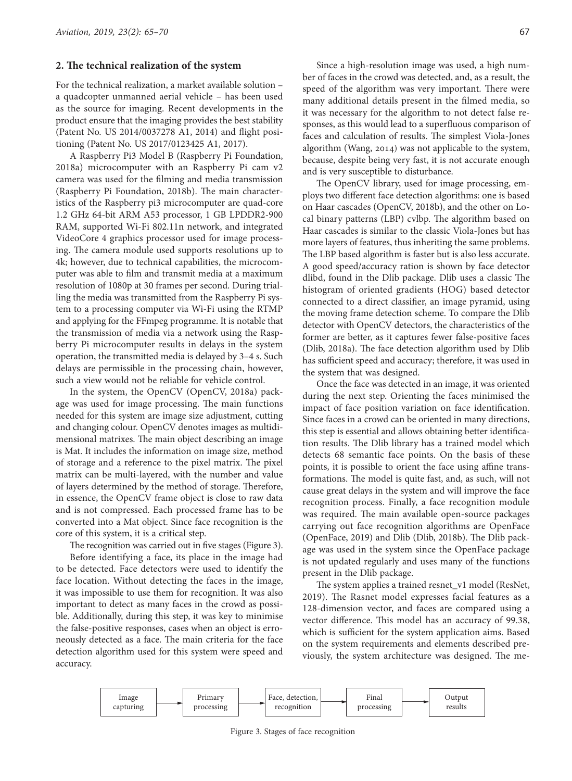#### **2. The technical realization of the system**

For the technical realization, a market available solution – a quadcopter unmanned aerial vehicle – has been used as the source for imaging. Recent developments in the product ensure that the imaging provides the best stability (Patent No. US 2014/0037278 A1, 2014) and flight positioning (Patent No. US 2017/0123425 A1, 2017).

A Raspberry Pi3 Model B (Raspberry Pi Foundation, 2018a) microcomputer with an Raspberry Pi cam v2 camera was used for the filming and media transmission (Raspberry Pi Foundation, 2018b). The main characteristics of the Raspberry pi3 microcomputer are quad-core 1.2 GHz 64-bit ARM A53 processor, 1 GB LPDDR2-900 RAM, supported Wi-Fi 802.11n network, and integrated VideoCore 4 graphics processor used for image processing. The camera module used supports resolutions up to 4k; however, due to technical capabilities, the microcomputer was able to film and transmit media at a maximum resolution of 1080p at 30 frames per second. During trialling the media was transmitted from the Raspberry Pi system to a processing computer via Wi-Fi using the RTMP and applying for the FFmpeg programme. It is notable that the transmission of media via a network using the Raspberry Pi microcomputer results in delays in the system operation, the transmitted media is delayed by 3–4 s. Such delays are permissible in the processing chain, however, such a view would not be reliable for vehicle control.

In the system, the OpenCV (OpenCV, 2018a) package was used for image processing. The main functions needed for this system are image size adjustment, cutting and changing colour. OpenCV denotes images as multidimensional matrixes. The main object describing an image is Mat. It includes the information on image size, method of storage and a reference to the pixel matrix. The pixel matrix can be multi-layered, with the number and value of layers determined by the method of storage. Therefore, in essence, the OpenCV frame object is close to raw data and is not compressed. Each processed frame has to be converted into a Mat object. Since face recognition is the core of this system, it is a critical step.

The recognition was carried out in five stages (Figure 3).

Before identifying a face, its place in the image had to be detected. Face detectors were used to identify the face location. Without detecting the faces in the image, it was impossible to use them for recognition. It was also important to detect as many faces in the crowd as possible. Additionally, during this step, it was key to minimise the false-positive responses, cases when an object is erroneously detected as a face. The main criteria for the face detection algorithm used for this system were speed and accuracy.

Since a high-resolution image was used, a high number of faces in the crowd was detected, and, as a result, the speed of the algorithm was very important. There were many additional details present in the filmed media, so it was necessary for the algorithm to not detect false responses, as this would lead to a superfluous comparison of faces and calculation of results. The simplest Viola-Jones algorithm (Wang, 2014) was not applicable to the system, because, despite being very fast, it is not accurate enough and is very susceptible to disturbance.

The OpenCV library, used for image processing, employs two different face detection algorithms: one is based on Haar cascades (OpenCV, 2018b), and the other on Local binary patterns (LBP) cvlbp. The algorithm based on Haar cascades is similar to the classic Viola-Jones but has more layers of features, thus inheriting the same problems. The LBP based algorithm is faster but is also less accurate. A good speed/accuracy ration is shown by face detector dlibd, found in the Dlib package. Dlib uses a classic The histogram of oriented gradients (HOG) based detector connected to a direct classifier, an image pyramid, using the moving frame detection scheme. To compare the Dlib detector with OpenCV detectors, the characteristics of the former are better, as it captures fewer false-positive faces (Dlib, 2018a). The face detection algorithm used by Dlib has sufficient speed and accuracy; therefore, it was used in the system that was designed.

Once the face was detected in an image, it was oriented during the next step. Orienting the faces minimised the impact of face position variation on face identification. Since faces in a crowd can be oriented in many directions, this step is essential and allows obtaining better identification results. The Dlib library has a trained model which detects 68 semantic face points. On the basis of these points, it is possible to orient the face using affine transformations. The model is quite fast, and, as such, will not cause great delays in the system and will improve the face recognition process. Finally, a face recognition module was required. The main available open-source packages carrying out face recognition algorithms are OpenFace (OpenFace, 2019) and Dlib (Dlib, 2018b). The Dlib package was used in the system since the OpenFace package is not updated regularly and uses many of the functions present in the Dlib package.

The system applies a trained resnet\_v1 model (ResNet, 2019). The Rasnet model expresses facial features as a 128-dimension vector, and faces are compared using a vector difference. This model has an accuracy of 99.38, which is sufficient for the system application aims. Based on the system requirements and elements described previously, the system architecture was designed. The me-



Figure 3. Stages of face recognition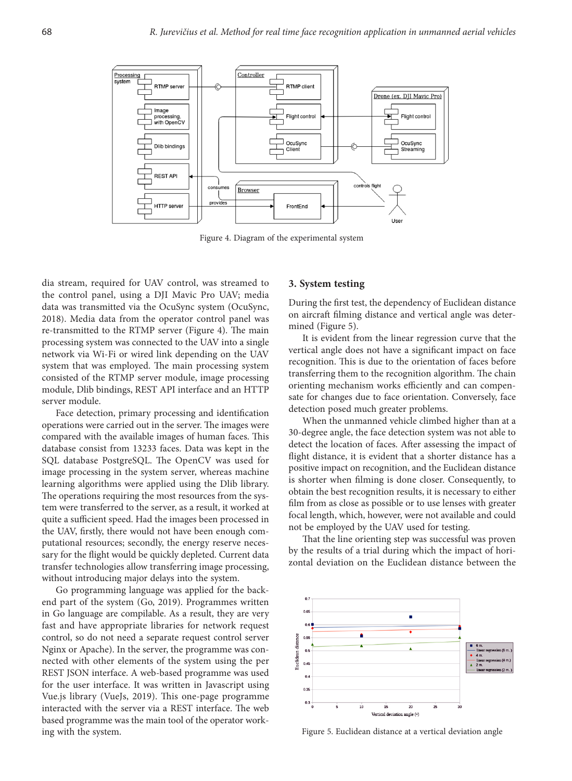

Figure 4. Diagram of the experimental system

dia stream, required for UAV control, was streamed to the control panel, using a DJI Mavic Pro UAV; media data was transmitted via the OcuSync system (OcuSync, 2018). Media data from the operator control panel was re-transmitted to the RTMP server (Figure 4). The main processing system was connected to the UAV into a single network via Wi-Fi or wired link depending on the UAV system that was employed. The main processing system consisted of the RTMP server module, image processing module, Dlib bindings, REST API interface and an HTTP server module.

Face detection, primary processing and identification operations were carried out in the server. The images were compared with the available images of human faces. This database consist from 13233 faces. Data was kept in the SQL database PostgreSQL. The OpenCV was used for image processing in the system server, whereas machine learning algorithms were applied using the Dlib library. The operations requiring the most resources from the system were transferred to the server, as a result, it worked at quite a sufficient speed. Had the images been processed in the UAV, firstly, there would not have been enough computational resources; secondly, the energy reserve necessary for the flight would be quickly depleted. Current data transfer technologies allow transferring image processing, without introducing major delays into the system.

Go programming language was applied for the backend part of the system (Go, 2019). Programmes written in Go language are compilable. As a result, they are very fast and have appropriate libraries for network request control, so do not need a separate request control server Nginx or Apache). In the server, the programme was connected with other elements of the system using the per REST JSON interface. A web-based programme was used for the user interface. It was written in Javascript using Vue.js library (VueJs, 2019). This one-page programme interacted with the server via a REST interface. The web based programme was the main tool of the operator working with the system.

#### **3. System testing**

During the first test, the dependency of Euclidean distance on aircraft filming distance and vertical angle was determined (Figure 5).

It is evident from the linear regression curve that the vertical angle does not have a significant impact on face recognition. This is due to the orientation of faces before transferring them to the recognition algorithm. The chain orienting mechanism works efficiently and can compensate for changes due to face orientation. Conversely, face detection posed much greater problems.

When the unmanned vehicle climbed higher than at a 30-degree angle, the face detection system was not able to detect the location of faces. After assessing the impact of flight distance, it is evident that a shorter distance has a positive impact on recognition, and the Euclidean distance is shorter when filming is done closer. Consequently, to obtain the best recognition results, it is necessary to either film from as close as possible or to use lenses with greater focal length, which, however, were not available and could not be employed by the UAV used for testing.

That the line orienting step was successful was proven by the results of a trial during which the impact of horizontal deviation on the Euclidean distance between the



Figure 5. Euclidean distance at a vertical deviation angle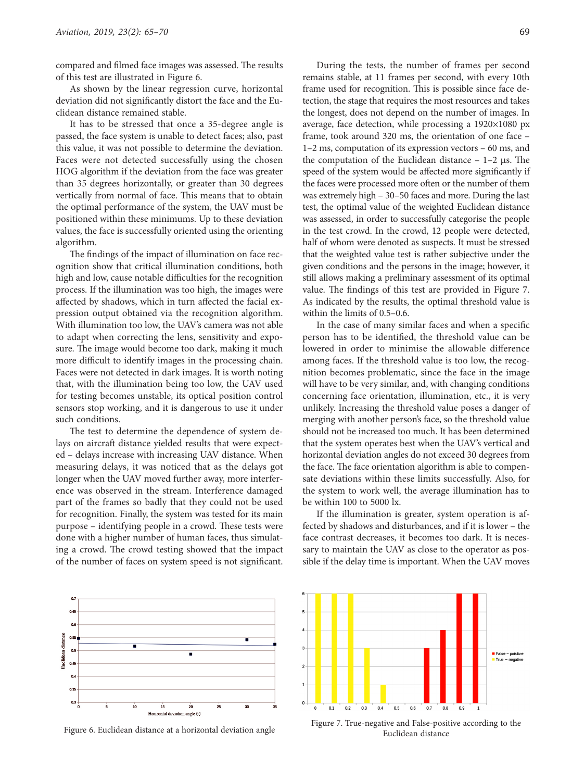compared and filmed face images was assessed. The results of this test are illustrated in Figure 6.

As shown by the linear regression curve, horizontal deviation did not significantly distort the face and the Euclidean distance remained stable.

It has to be stressed that once a 35-degree angle is passed, the face system is unable to detect faces; also, past this value, it was not possible to determine the deviation. Faces were not detected successfully using the chosen HOG algorithm if the deviation from the face was greater than 35 degrees horizontally, or greater than 30 degrees vertically from normal of face. This means that to obtain the optimal performance of the system, the UAV must be positioned within these minimums. Up to these deviation values, the face is successfully oriented using the orienting algorithm.

The findings of the impact of illumination on face recognition show that critical illumination conditions, both high and low, cause notable difficulties for the recognition process. If the illumination was too high, the images were affected by shadows, which in turn affected the facial expression output obtained via the recognition algorithm. With illumination too low, the UAV's camera was not able to adapt when correcting the lens, sensitivity and exposure. The image would become too dark, making it much more difficult to identify images in the processing chain. Faces were not detected in dark images. It is worth noting that, with the illumination being too low, the UAV used for testing becomes unstable, its optical position control sensors stop working, and it is dangerous to use it under such conditions.

The test to determine the dependence of system delays on aircraft distance yielded results that were expected – delays increase with increasing UAV distance. When measuring delays, it was noticed that as the delays got longer when the UAV moved further away, more interference was observed in the stream. Interference damaged part of the frames so badly that they could not be used for recognition. Finally, the system was tested for its main purpose – identifying people in a crowd. These tests were done with a higher number of human faces, thus simulating a crowd. The crowd testing showed that the impact of the number of faces on system speed is not significant.

During the tests, the number of frames per second remains stable, at 11 frames per second, with every 10th frame used for recognition. This is possible since face detection, the stage that requires the most resources and takes the longest, does not depend on the number of images. In average, face detection, while processing a 1920×1080 px frame, took around 320 ms, the orientation of one face – 1–2 ms, computation of its expression vectors – 60 ms, and the computation of the Euclidean distance  $-1-2$  μs. The speed of the system would be affected more significantly if the faces were processed more often or the number of them was extremely high – 30–50 faces and more. During the last test, the optimal value of the weighted Euclidean distance was assessed, in order to successfully categorise the people in the test crowd. In the crowd, 12 people were detected, half of whom were denoted as suspects. It must be stressed that the weighted value test is rather subjective under the given conditions and the persons in the image; however, it still allows making a preliminary assessment of its optimal value. The findings of this test are provided in Figure 7. As indicated by the results, the optimal threshold value is within the limits of  $0.5-0.6$ .

In the case of many similar faces and when a specific person has to be identified, the threshold value can be lowered in order to minimise the allowable difference among faces. If the threshold value is too low, the recognition becomes problematic, since the face in the image will have to be very similar, and, with changing conditions concerning face orientation, illumination, etc., it is very unlikely. Increasing the threshold value poses a danger of merging with another person's face, so the threshold value should not be increased too much. It has been determined that the system operates best when the UAV's vertical and horizontal deviation angles do not exceed 30 degrees from the face. The face orientation algorithm is able to compensate deviations within these limits successfully. Also, for the system to work well, the average illumination has to be within 100 to 5000 lx.

If the illumination is greater, system operation is affected by shadows and disturbances, and if it is lower – the face contrast decreases, it becomes too dark. It is necessary to maintain the UAV as close to the operator as possible if the delay time is important. When the UAV moves





Figure 7. True-negative and False-positive according to the<br>Fuclidean distance at a horizontal deviation angle Euclidean distance